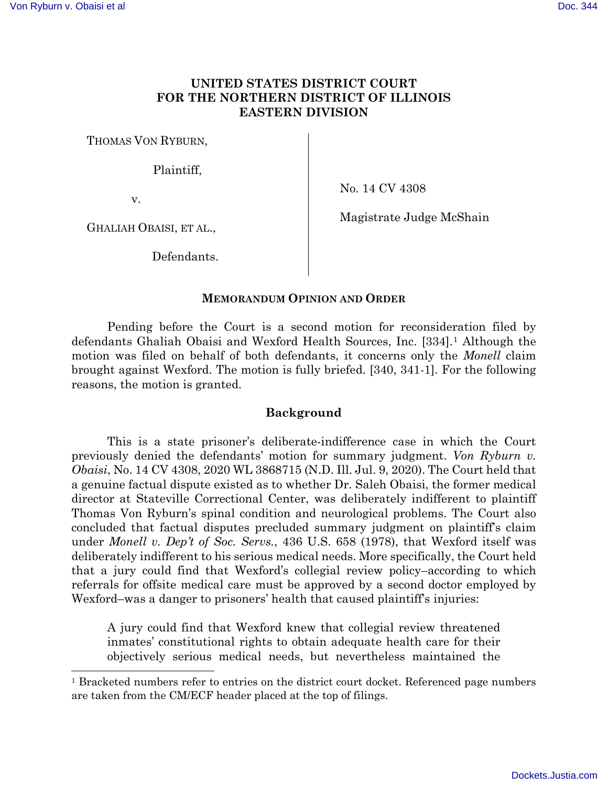# **UNITED STATES DISTRICT COURT FOR THE NORTHERN DISTRICT OF ILLINOIS EASTERN DIVISION**

THOMAS VON RYBURN,

Plaintiff,

v.

No. 14 CV 4308

GHALIAH OBAISI, ET AL.,

Magistrate Judge McShain

Defendants.

# **MEMORANDUM OPINION AND ORDER**

Pending before the Court is a second motion for reconsideration filed by defendants Ghaliah Obaisi and Wexford Health Sources, Inc. [334].[1](#page-0-0) Although the motion was filed on behalf of both defendants, it concerns only the *Monell* claim brought against Wexford. The motion is fully briefed. [340, 341-1]. For the following reasons, the motion is granted.

# **Background**

This is a state prisoner's deliberate-indifference case in which the Court previously denied the defendants' motion for summary judgment. *Von Ryburn v. Obaisi*, No. 14 CV 4308, 2020 WL 3868715 (N.D. Ill. Jul. 9, 2020). The Court held that a genuine factual dispute existed as to whether Dr. Saleh Obaisi, the former medical director at Stateville Correctional Center, was deliberately indifferent to plaintiff Thomas Von Ryburn's spinal condition and neurological problems. The Court also concluded that factual disputes precluded summary judgment on plaintiff's claim under *Monell v. Dep't of Soc. Servs.*, 436 U.S. 658 (1978), that Wexford itself was deliberately indifferent to his serious medical needs. More specifically, the Court held that a jury could find that Wexford's collegial review policy–according to which referrals for offsite medical care must be approved by a second doctor employed by Wexford–was a danger to prisoners' health that caused plaintiff's injuries:

A jury could find that Wexford knew that collegial review threatened inmates' constitutional rights to obtain adequate health care for their objectively serious medical needs, but nevertheless maintained the

<span id="page-0-0"></span><sup>&</sup>lt;sup>1</sup> Bracketed numbers refer to entries on the district court docket. Referenced page numbers are taken from the CM/ECF header placed at the top of filings.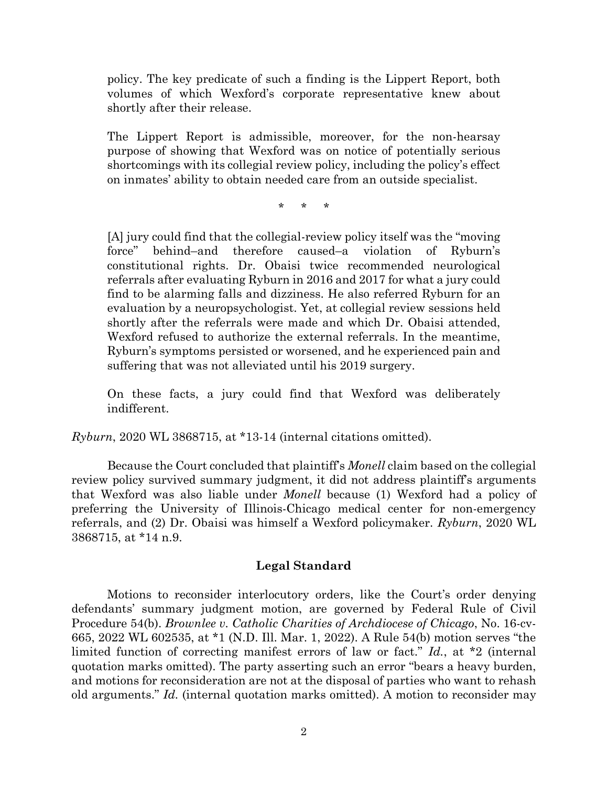policy. The key predicate of such a finding is the Lippert Report, both volumes of which Wexford's corporate representative knew about shortly after their release.

The Lippert Report is admissible, moreover, for the non-hearsay purpose of showing that Wexford was on notice of potentially serious shortcomings with its collegial review policy, including the policy's effect on inmates' ability to obtain needed care from an outside specialist.

\* \* \*

[A] jury could find that the collegial-review policy itself was the "moving force" behind–and therefore caused–a violation of Ryburn's constitutional rights. Dr. Obaisi twice recommended neurological referrals after evaluating Ryburn in 2016 and 2017 for what a jury could find to be alarming falls and dizziness. He also referred Ryburn for an evaluation by a neuropsychologist. Yet, at collegial review sessions held shortly after the referrals were made and which Dr. Obaisi attended, Wexford refused to authorize the external referrals. In the meantime, Ryburn's symptoms persisted or worsened, and he experienced pain and suffering that was not alleviated until his 2019 surgery.

On these facts, a jury could find that Wexford was deliberately indifferent.

*Ryburn*, 2020 WL 3868715, at \*13-14 (internal citations omitted).

Because the Court concluded that plaintiff's *Monell* claim based on the collegial review policy survived summary judgment, it did not address plaintiff's arguments that Wexford was also liable under *Monell* because (1) Wexford had a policy of preferring the University of Illinois-Chicago medical center for non-emergency referrals, and (2) Dr. Obaisi was himself a Wexford policymaker. *Ryburn*, 2020 WL 3868715, at \*14 n.9.

# **Legal Standard**

Motions to reconsider interlocutory orders, like the Court's order denying defendants' summary judgment motion, are governed by Federal Rule of Civil Procedure 54(b). *Brownlee v. Catholic Charities of Archdiocese of Chicago*, No. 16-cv-665, 2022 WL 602535, at \*1 (N.D. Ill. Mar. 1, 2022). A Rule 54(b) motion serves "the limited function of correcting manifest errors of law or fact." *Id.*, at \*2 (internal quotation marks omitted). The party asserting such an error "bears a heavy burden, and motions for reconsideration are not at the disposal of parties who want to rehash old arguments." *Id.* (internal quotation marks omitted). A motion to reconsider may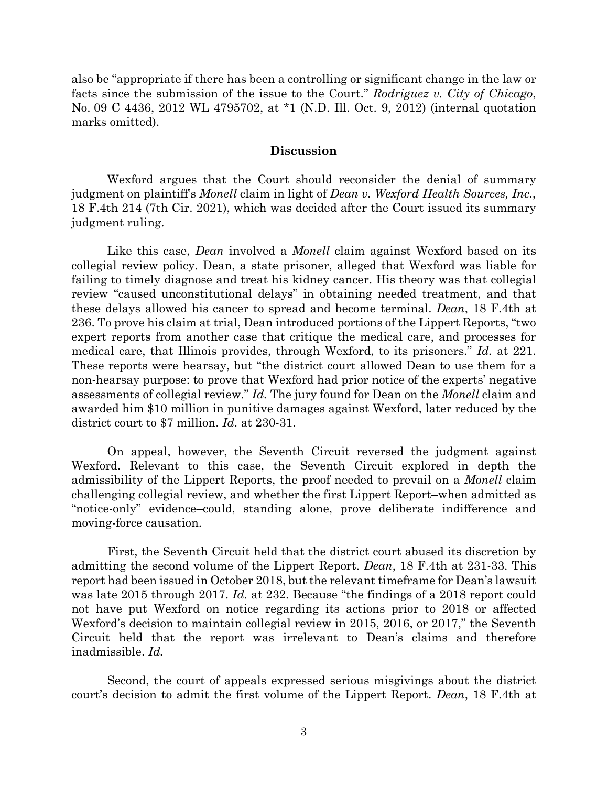also be "appropriate if there has been a controlling or significant change in the law or facts since the submission of the issue to the Court." *Rodriguez v. City of Chicago*, No. 09 C 4436, 2012 WL 4795702, at \*1 (N.D. Ill. Oct. 9, 2012) (internal quotation marks omitted).

### **Discussion**

Wexford argues that the Court should reconsider the denial of summary judgment on plaintiff's *Monell* claim in light of *Dean v. Wexford Health Sources, Inc.*, 18 F.4th 214 (7th Cir. 2021), which was decided after the Court issued its summary judgment ruling.

Like this case, *Dean* involved a *Monell* claim against Wexford based on its collegial review policy. Dean, a state prisoner, alleged that Wexford was liable for failing to timely diagnose and treat his kidney cancer. His theory was that collegial review "caused unconstitutional delays" in obtaining needed treatment, and that these delays allowed his cancer to spread and become terminal. *Dean*, 18 F.4th at 236. To prove his claim at trial, Dean introduced portions of the Lippert Reports, "two expert reports from another case that critique the medical care, and processes for medical care, that Illinois provides, through Wexford, to its prisoners." *Id.* at 221. These reports were hearsay, but "the district court allowed Dean to use them for a non-hearsay purpose: to prove that Wexford had prior notice of the experts' negative assessments of collegial review." *Id.* The jury found for Dean on the *Monell* claim and awarded him \$10 million in punitive damages against Wexford, later reduced by the district court to \$7 million. *Id.* at 230-31.

On appeal, however, the Seventh Circuit reversed the judgment against Wexford. Relevant to this case, the Seventh Circuit explored in depth the admissibility of the Lippert Reports, the proof needed to prevail on a *Monell* claim challenging collegial review, and whether the first Lippert Report–when admitted as "notice-only" evidence–could, standing alone, prove deliberate indifference and moving-force causation.

First, the Seventh Circuit held that the district court abused its discretion by admitting the second volume of the Lippert Report. *Dean*, 18 F.4th at 231-33. This report had been issued in October 2018, but the relevant timeframe for Dean's lawsuit was late 2015 through 2017. *Id.* at 232. Because "the findings of a 2018 report could not have put Wexford on notice regarding its actions prior to 2018 or affected Wexford's decision to maintain collegial review in 2015, 2016, or 2017," the Seventh Circuit held that the report was irrelevant to Dean's claims and therefore inadmissible. *Id.*

Second, the court of appeals expressed serious misgivings about the district court's decision to admit the first volume of the Lippert Report. *Dean*, 18 F.4th at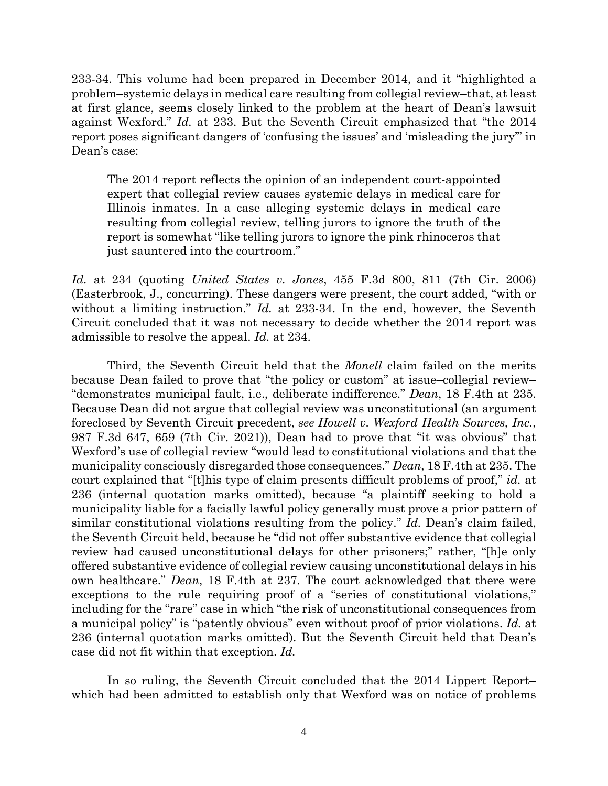233-34. This volume had been prepared in December 2014, and it "highlighted a problem–systemic delays in medical care resulting from collegial review–that, at least at first glance, seems closely linked to the problem at the heart of Dean's lawsuit against Wexford." *Id.* at 233. But the Seventh Circuit emphasized that "the 2014 report poses significant dangers of 'confusing the issues' and 'misleading the jury'" in Dean's case:

The 2014 report reflects the opinion of an independent court-appointed expert that collegial review causes systemic delays in medical care for Illinois inmates. In a case alleging systemic delays in medical care resulting from collegial review, telling jurors to ignore the truth of the report is somewhat "like telling jurors to ignore the pink rhinoceros that just sauntered into the courtroom."

*Id.* at 234 (quoting *United States v. Jones*, 455 F.3d 800, 811 (7th Cir. 2006) (Easterbrook, J., concurring). These dangers were present, the court added, "with or without a limiting instruction." *Id.* at 233-34. In the end, however, the Seventh Circuit concluded that it was not necessary to decide whether the 2014 report was admissible to resolve the appeal. *Id.* at 234.

Third, the Seventh Circuit held that the *Monell* claim failed on the merits because Dean failed to prove that "the policy or custom" at issue–collegial review– "demonstrates municipal fault, i.e., deliberate indifference." *Dean*, 18 F.4th at 235. Because Dean did not argue that collegial review was unconstitutional (an argument foreclosed by Seventh Circuit precedent, *see Howell v. Wexford Health Sources, Inc.*, 987 F.3d 647, 659 (7th Cir. 2021)), Dean had to prove that "it was obvious" that Wexford's use of collegial review "would lead to constitutional violations and that the municipality consciously disregarded those consequences." *Dean*, 18 F.4th at 235. The court explained that "[t]his type of claim presents difficult problems of proof," *id.* at 236 (internal quotation marks omitted), because "a plaintiff seeking to hold a municipality liable for a facially lawful policy generally must prove a prior pattern of similar constitutional violations resulting from the policy." *Id.* Dean's claim failed, the Seventh Circuit held, because he "did not offer substantive evidence that collegial review had caused unconstitutional delays for other prisoners;" rather, "[h]e only offered substantive evidence of collegial review causing unconstitutional delays in his own healthcare." *Dean*, 18 F.4th at 237. The court acknowledged that there were exceptions to the rule requiring proof of a "series of constitutional violations," including for the "rare" case in which "the risk of unconstitutional consequences from a municipal policy" is "patently obvious" even without proof of prior violations. *Id.* at 236 (internal quotation marks omitted). But the Seventh Circuit held that Dean's case did not fit within that exception. *Id.*

In so ruling, the Seventh Circuit concluded that the 2014 Lippert Report– which had been admitted to establish only that Wexford was on notice of problems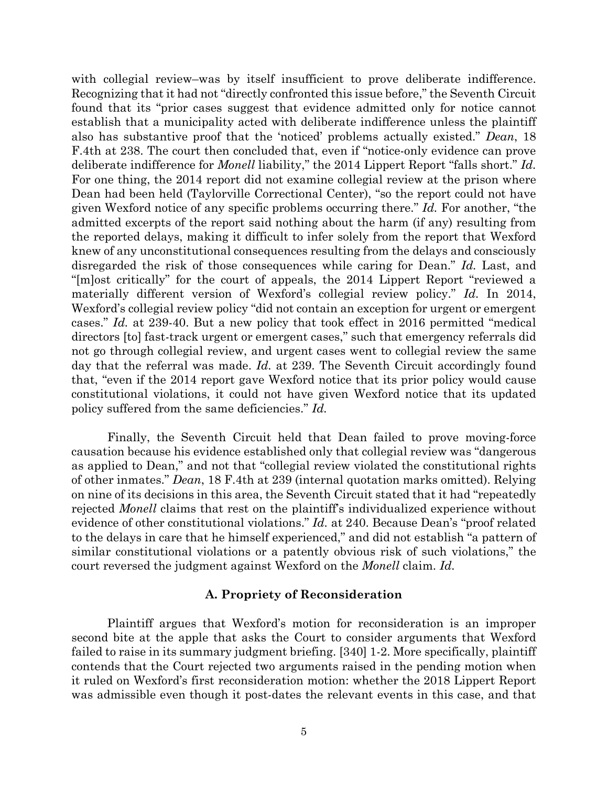with collegial review–was by itself insufficient to prove deliberate indifference. Recognizing that it had not "directly confronted this issue before," the Seventh Circuit found that its "prior cases suggest that evidence admitted only for notice cannot establish that a municipality acted with deliberate indifference unless the plaintiff also has substantive proof that the 'noticed' problems actually existed." *Dean*, 18 F.4th at 238. The court then concluded that, even if "notice-only evidence can prove deliberate indifference for *Monell* liability," the 2014 Lippert Report "falls short." *Id.* For one thing, the 2014 report did not examine collegial review at the prison where Dean had been held (Taylorville Correctional Center), "so the report could not have given Wexford notice of any specific problems occurring there." *Id.* For another, "the admitted excerpts of the report said nothing about the harm (if any) resulting from the reported delays, making it difficult to infer solely from the report that Wexford knew of any unconstitutional consequences resulting from the delays and consciously disregarded the risk of those consequences while caring for Dean." *Id.* Last, and "[m]ost critically" for the court of appeals, the 2014 Lippert Report "reviewed a materially different version of Wexford's collegial review policy." *Id.* In 2014, Wexford's collegial review policy "did not contain an exception for urgent or emergent cases." *Id.* at 239-40. But a new policy that took effect in 2016 permitted "medical directors [to] fast-track urgent or emergent cases," such that emergency referrals did not go through collegial review, and urgent cases went to collegial review the same day that the referral was made. *Id.* at 239. The Seventh Circuit accordingly found that, "even if the 2014 report gave Wexford notice that its prior policy would cause constitutional violations, it could not have given Wexford notice that its updated policy suffered from the same deficiencies." *Id.*

Finally, the Seventh Circuit held that Dean failed to prove moving-force causation because his evidence established only that collegial review was "dangerous as applied to Dean," and not that "collegial review violated the constitutional rights of other inmates." *Dean*, 18 F.4th at 239 (internal quotation marks omitted). Relying on nine of its decisions in this area, the Seventh Circuit stated that it had "repeatedly rejected *Monell* claims that rest on the plaintiff's individualized experience without evidence of other constitutional violations." *Id.* at 240. Because Dean's "proof related to the delays in care that he himself experienced," and did not establish "a pattern of similar constitutional violations or a patently obvious risk of such violations," the court reversed the judgment against Wexford on the *Monell* claim. *Id.*

## **A. Propriety of Reconsideration**

Plaintiff argues that Wexford's motion for reconsideration is an improper second bite at the apple that asks the Court to consider arguments that Wexford failed to raise in its summary judgment briefing. [340] 1-2. More specifically, plaintiff contends that the Court rejected two arguments raised in the pending motion when it ruled on Wexford's first reconsideration motion: whether the 2018 Lippert Report was admissible even though it post-dates the relevant events in this case, and that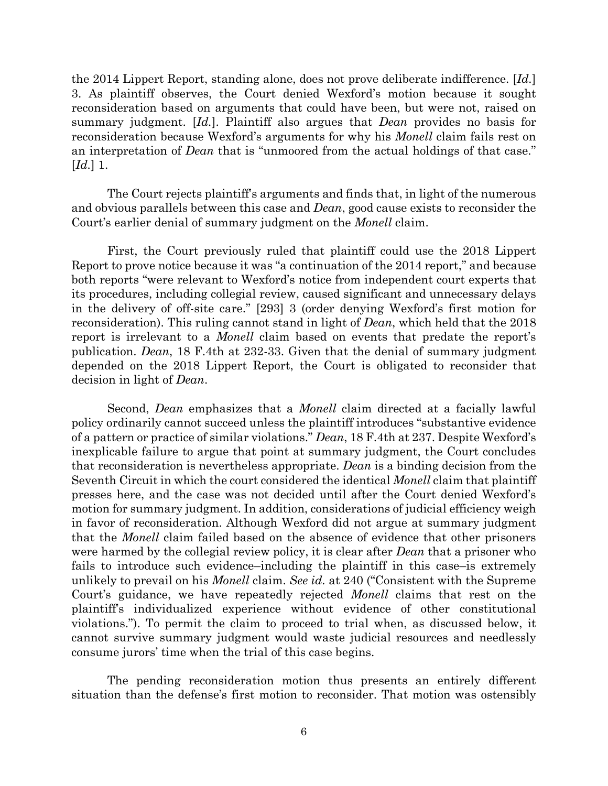the 2014 Lippert Report, standing alone, does not prove deliberate indifference. [*Id.*] 3. As plaintiff observes, the Court denied Wexford's motion because it sought reconsideration based on arguments that could have been, but were not, raised on summary judgment. [*Id.*]. Plaintiff also argues that *Dean* provides no basis for reconsideration because Wexford's arguments for why his *Monell* claim fails rest on an interpretation of *Dean* that is "unmoored from the actual holdings of that case." [*Id.*] 1.

The Court rejects plaintiff's arguments and finds that, in light of the numerous and obvious parallels between this case and *Dean*, good cause exists to reconsider the Court's earlier denial of summary judgment on the *Monell* claim.

First, the Court previously ruled that plaintiff could use the 2018 Lippert Report to prove notice because it was "a continuation of the 2014 report," and because both reports "were relevant to Wexford's notice from independent court experts that its procedures, including collegial review, caused significant and unnecessary delays in the delivery of off-site care." [293] 3 (order denying Wexford's first motion for reconsideration). This ruling cannot stand in light of *Dean*, which held that the 2018 report is irrelevant to a *Monell* claim based on events that predate the report's publication. *Dean*, 18 F.4th at 232-33. Given that the denial of summary judgment depended on the 2018 Lippert Report, the Court is obligated to reconsider that decision in light of *Dean*.

 Second, *Dean* emphasizes that a *Monell* claim directed at a facially lawful policy ordinarily cannot succeed unless the plaintiff introduces "substantive evidence of a pattern or practice of similar violations." *Dean*, 18 F.4th at 237. Despite Wexford's inexplicable failure to argue that point at summary judgment, the Court concludes that reconsideration is nevertheless appropriate. *Dean* is a binding decision from the Seventh Circuit in which the court considered the identical *Monell* claim that plaintiff presses here, and the case was not decided until after the Court denied Wexford's motion for summary judgment. In addition, considerations of judicial efficiency weigh in favor of reconsideration. Although Wexford did not argue at summary judgment that the *Monell* claim failed based on the absence of evidence that other prisoners were harmed by the collegial review policy, it is clear after *Dean* that a prisoner who fails to introduce such evidence–including the plaintiff in this case–is extremely unlikely to prevail on his *Monell* claim. *See id.* at 240 ("Consistent with the Supreme Court's guidance, we have repeatedly rejected *Monell* claims that rest on the plaintiff's individualized experience without evidence of other constitutional violations."). To permit the claim to proceed to trial when, as discussed below, it cannot survive summary judgment would waste judicial resources and needlessly consume jurors' time when the trial of this case begins.

The pending reconsideration motion thus presents an entirely different situation than the defense's first motion to reconsider. That motion was ostensibly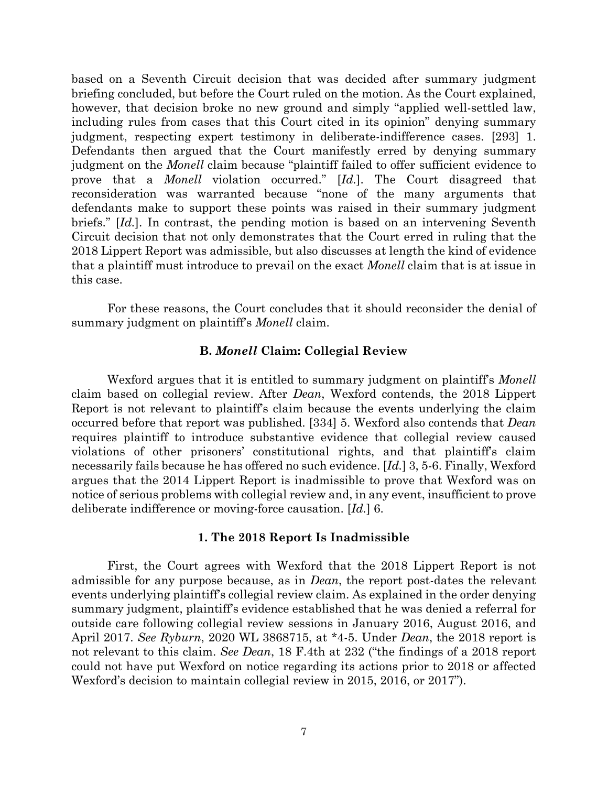based on a Seventh Circuit decision that was decided after summary judgment briefing concluded, but before the Court ruled on the motion. As the Court explained, however, that decision broke no new ground and simply "applied well-settled law, including rules from cases that this Court cited in its opinion" denying summary judgment, respecting expert testimony in deliberate-indifference cases. [293] 1. Defendants then argued that the Court manifestly erred by denying summary judgment on the *Monell* claim because "plaintiff failed to offer sufficient evidence to prove that a *Monell* violation occurred." [*Id.*]. The Court disagreed that reconsideration was warranted because "none of the many arguments that defendants make to support these points was raised in their summary judgment briefs." [*Id.*]. In contrast, the pending motion is based on an intervening Seventh Circuit decision that not only demonstrates that the Court erred in ruling that the 2018 Lippert Report was admissible, but also discusses at length the kind of evidence that a plaintiff must introduce to prevail on the exact *Monell* claim that is at issue in this case.

For these reasons, the Court concludes that it should reconsider the denial of summary judgment on plaintiff's *Monell* claim.

### **B.** *Monell* **Claim: Collegial Review**

Wexford argues that it is entitled to summary judgment on plaintiff's *Monell* claim based on collegial review. After *Dean*, Wexford contends, the 2018 Lippert Report is not relevant to plaintiff's claim because the events underlying the claim occurred before that report was published. [334] 5. Wexford also contends that *Dean* requires plaintiff to introduce substantive evidence that collegial review caused violations of other prisoners' constitutional rights, and that plaintiff's claim necessarily fails because he has offered no such evidence. [*Id.*] 3, 5-6. Finally, Wexford argues that the 2014 Lippert Report is inadmissible to prove that Wexford was on notice of serious problems with collegial review and, in any event, insufficient to prove deliberate indifference or moving-force causation. [*Id.*] 6.

#### **1. The 2018 Report Is Inadmissible**

First, the Court agrees with Wexford that the 2018 Lippert Report is not admissible for any purpose because, as in *Dean*, the report post-dates the relevant events underlying plaintiff's collegial review claim. As explained in the order denying summary judgment, plaintiff's evidence established that he was denied a referral for outside care following collegial review sessions in January 2016, August 2016, and April 2017. *See Ryburn*, 2020 WL 3868715, at \*4-5. Under *Dean*, the 2018 report is not relevant to this claim. *See Dean*, 18 F.4th at 232 ("the findings of a 2018 report could not have put Wexford on notice regarding its actions prior to 2018 or affected Wexford's decision to maintain collegial review in 2015, 2016, or 2017").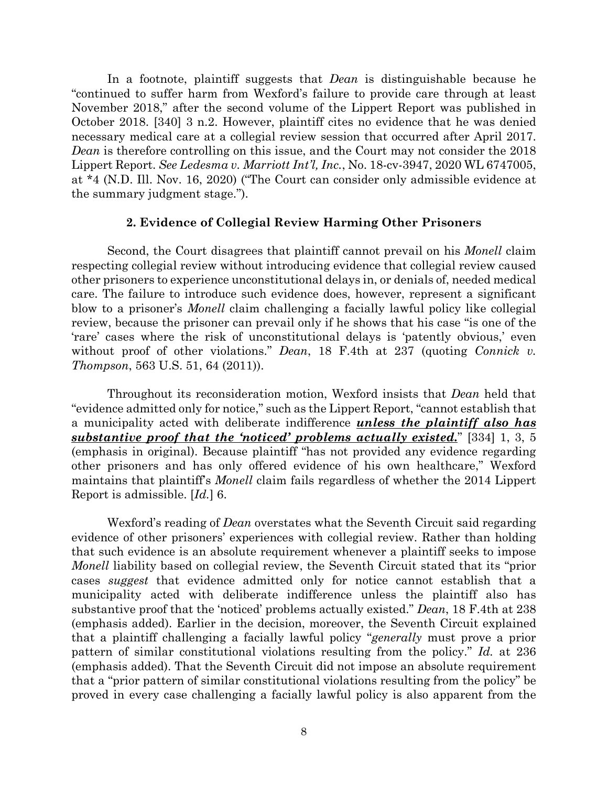In a footnote, plaintiff suggests that *Dean* is distinguishable because he "continued to suffer harm from Wexford's failure to provide care through at least November 2018," after the second volume of the Lippert Report was published in October 2018. [340] 3 n.2. However, plaintiff cites no evidence that he was denied necessary medical care at a collegial review session that occurred after April 2017. *Dean* is therefore controlling on this issue, and the Court may not consider the 2018 Lippert Report. *See Ledesma v. Marriott Int'l, Inc.*, No. 18-cv-3947, 2020 WL 6747005, at \*4 (N.D. Ill. Nov. 16, 2020) ("The Court can consider only admissible evidence at the summary judgment stage.").

### **2. Evidence of Collegial Review Harming Other Prisoners**

Second, the Court disagrees that plaintiff cannot prevail on his *Monell* claim respecting collegial review without introducing evidence that collegial review caused other prisoners to experience unconstitutional delays in, or denials of, needed medical care. The failure to introduce such evidence does, however, represent a significant blow to a prisoner's *Monell* claim challenging a facially lawful policy like collegial review, because the prisoner can prevail only if he shows that his case "is one of the 'rare' cases where the risk of unconstitutional delays is 'patently obvious,' even without proof of other violations." *Dean*, 18 F.4th at 237 (quoting *Connick v. Thompson*, 563 U.S. 51, 64 (2011)).

Throughout its reconsideration motion, Wexford insists that *Dean* held that "evidence admitted only for notice," such as the Lippert Report, "cannot establish that a municipality acted with deliberate indifference *unless the plaintiff also has substantive proof that the 'noticed' problems actually existed.*" [334] 1, 3, 5 (emphasis in original). Because plaintiff "has not provided any evidence regarding other prisoners and has only offered evidence of his own healthcare," Wexford maintains that plaintiff's *Monell* claim fails regardless of whether the 2014 Lippert Report is admissible. [*Id.*] 6.

Wexford's reading of *Dean* overstates what the Seventh Circuit said regarding evidence of other prisoners' experiences with collegial review. Rather than holding that such evidence is an absolute requirement whenever a plaintiff seeks to impose *Monell* liability based on collegial review, the Seventh Circuit stated that its "prior cases *suggest* that evidence admitted only for notice cannot establish that a municipality acted with deliberate indifference unless the plaintiff also has substantive proof that the 'noticed' problems actually existed." *Dean*, 18 F.4th at 238 (emphasis added). Earlier in the decision, moreover, the Seventh Circuit explained that a plaintiff challenging a facially lawful policy "*generally* must prove a prior pattern of similar constitutional violations resulting from the policy." *Id.* at 236 (emphasis added). That the Seventh Circuit did not impose an absolute requirement that a "prior pattern of similar constitutional violations resulting from the policy" be proved in every case challenging a facially lawful policy is also apparent from the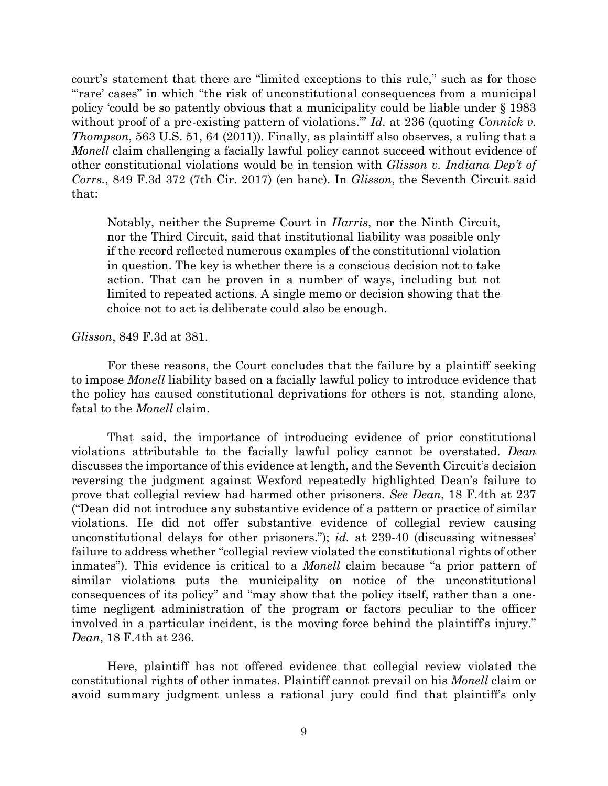court's statement that there are "limited exceptions to this rule," such as for those "rare' cases" in which "the risk of unconstitutional consequences from a municipal policy 'could be so patently obvious that a municipality could be liable under § 1983 without proof of a pre-existing pattern of violations." *Id.* at 236 (quoting *Connick v. Thompson*, 563 U.S. 51, 64 (2011)). Finally, as plaintiff also observes, a ruling that a *Monell* claim challenging a facially lawful policy cannot succeed without evidence of other constitutional violations would be in tension with *Glisson v. Indiana Dep't of Corrs.*, 849 F.3d 372 (7th Cir. 2017) (en banc). In *Glisson*, the Seventh Circuit said that:

Notably, neither the Supreme Court in *Harris*, nor the Ninth Circuit, nor the Third Circuit, said that institutional liability was possible only if the record reflected numerous examples of the constitutional violation in question. The key is whether there is a conscious decision not to take action. That can be proven in a number of ways, including but not limited to repeated actions. A single memo or decision showing that the choice not to act is deliberate could also be enough.

# *Glisson*, 849 F.3d at 381.

For these reasons, the Court concludes that the failure by a plaintiff seeking to impose *Monell* liability based on a facially lawful policy to introduce evidence that the policy has caused constitutional deprivations for others is not, standing alone, fatal to the *Monell* claim.

That said, the importance of introducing evidence of prior constitutional violations attributable to the facially lawful policy cannot be overstated. *Dean* discusses the importance of this evidence at length, and the Seventh Circuit's decision reversing the judgment against Wexford repeatedly highlighted Dean's failure to prove that collegial review had harmed other prisoners. *See Dean*, 18 F.4th at 237 ("Dean did not introduce any substantive evidence of a pattern or practice of similar violations. He did not offer substantive evidence of collegial review causing unconstitutional delays for other prisoners."); *id.* at 239-40 (discussing witnesses' failure to address whether "collegial review violated the constitutional rights of other inmates"). This evidence is critical to a *Monell* claim because "a prior pattern of similar violations puts the municipality on notice of the unconstitutional consequences of its policy" and "may show that the policy itself, rather than a onetime negligent administration of the program or factors peculiar to the officer involved in a particular incident, is the moving force behind the plaintiff's injury." *Dean*, 18 F.4th at 236.

Here, plaintiff has not offered evidence that collegial review violated the constitutional rights of other inmates. Plaintiff cannot prevail on his *Monell* claim or avoid summary judgment unless a rational jury could find that plaintiff's only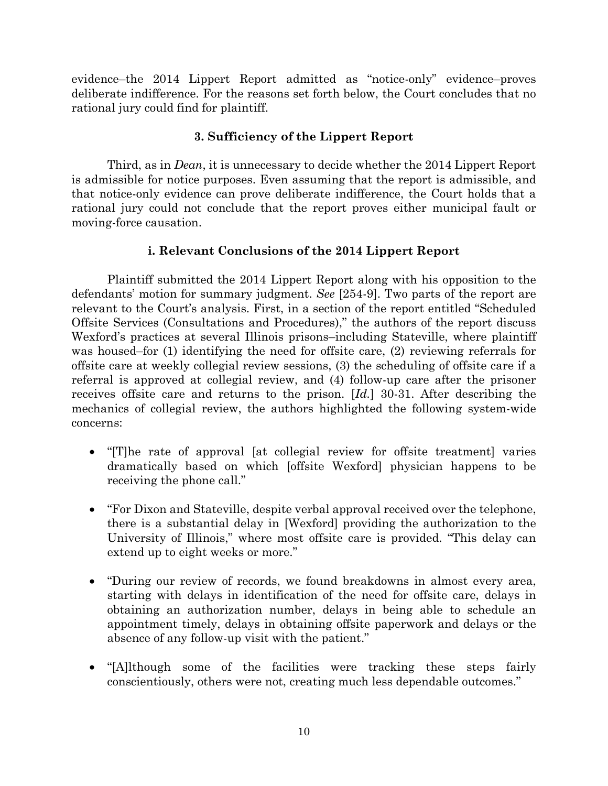evidence–the 2014 Lippert Report admitted as "notice-only" evidence–proves deliberate indifference. For the reasons set forth below, the Court concludes that no rational jury could find for plaintiff.

# **3. Sufficiency of the Lippert Report**

Third, as in *Dean*, it is unnecessary to decide whether the 2014 Lippert Report is admissible for notice purposes. Even assuming that the report is admissible, and that notice-only evidence can prove deliberate indifference, the Court holds that a rational jury could not conclude that the report proves either municipal fault or moving-force causation.

# **i. Relevant Conclusions of the 2014 Lippert Report**

Plaintiff submitted the 2014 Lippert Report along with his opposition to the defendants' motion for summary judgment. *See* [254-9]. Two parts of the report are relevant to the Court's analysis. First, in a section of the report entitled "Scheduled Offsite Services (Consultations and Procedures)," the authors of the report discuss Wexford's practices at several Illinois prisons–including Stateville, where plaintiff was housed–for (1) identifying the need for offsite care, (2) reviewing referrals for offsite care at weekly collegial review sessions, (3) the scheduling of offsite care if a referral is approved at collegial review, and (4) follow-up care after the prisoner receives offsite care and returns to the prison. [*Id.*] 30-31. After describing the mechanics of collegial review, the authors highlighted the following system-wide concerns:

- "[T]he rate of approval [at collegial review for offsite treatment] varies dramatically based on which [offsite Wexford] physician happens to be receiving the phone call."
- "For Dixon and Stateville, despite verbal approval received over the telephone, there is a substantial delay in [Wexford] providing the authorization to the University of Illinois," where most offsite care is provided. "This delay can extend up to eight weeks or more."
- "During our review of records, we found breakdowns in almost every area, starting with delays in identification of the need for offsite care, delays in obtaining an authorization number, delays in being able to schedule an appointment timely, delays in obtaining offsite paperwork and delays or the absence of any follow-up visit with the patient."
- "[A]lthough some of the facilities were tracking these steps fairly conscientiously, others were not, creating much less dependable outcomes."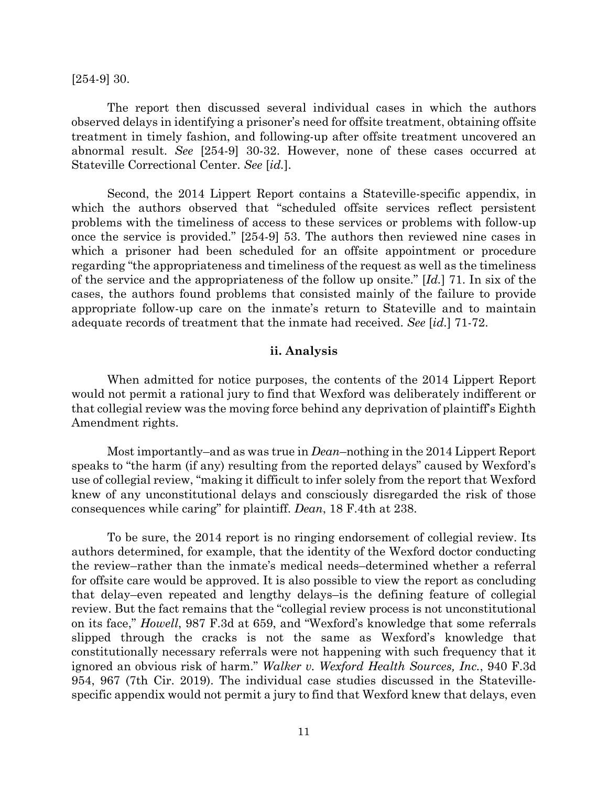[254-9] 30.

The report then discussed several individual cases in which the authors observed delays in identifying a prisoner's need for offsite treatment, obtaining offsite treatment in timely fashion, and following-up after offsite treatment uncovered an abnormal result. *See* [254-9] 30-32. However, none of these cases occurred at Stateville Correctional Center. *See* [*id.*].

Second, the 2014 Lippert Report contains a Stateville-specific appendix, in which the authors observed that "scheduled offsite services reflect persistent problems with the timeliness of access to these services or problems with follow-up once the service is provided." [254-9] 53. The authors then reviewed nine cases in which a prisoner had been scheduled for an offsite appointment or procedure regarding "the appropriateness and timeliness of the request as well as the timeliness of the service and the appropriateness of the follow up onsite." [*Id.*] 71. In six of the cases, the authors found problems that consisted mainly of the failure to provide appropriate follow-up care on the inmate's return to Stateville and to maintain adequate records of treatment that the inmate had received. *See* [*id.*] 71-72.

### **ii. Analysis**

When admitted for notice purposes, the contents of the 2014 Lippert Report would not permit a rational jury to find that Wexford was deliberately indifferent or that collegial review was the moving force behind any deprivation of plaintiff's Eighth Amendment rights.

Most importantly–and as was true in *Dean*–nothing in the 2014 Lippert Report speaks to "the harm (if any) resulting from the reported delays" caused by Wexford's use of collegial review, "making it difficult to infer solely from the report that Wexford knew of any unconstitutional delays and consciously disregarded the risk of those consequences while caring" for plaintiff. *Dean*, 18 F.4th at 238.

To be sure, the 2014 report is no ringing endorsement of collegial review. Its authors determined, for example, that the identity of the Wexford doctor conducting the review–rather than the inmate's medical needs–determined whether a referral for offsite care would be approved. It is also possible to view the report as concluding that delay–even repeated and lengthy delays–is the defining feature of collegial review. But the fact remains that the "collegial review process is not unconstitutional on its face," *Howell*, 987 F.3d at 659, and "Wexford's knowledge that some referrals slipped through the cracks is not the same as Wexford's knowledge that constitutionally necessary referrals were not happening with such frequency that it ignored an obvious risk of harm." *Walker v. Wexford Health Sources, Inc.*, 940 F.3d 954, 967 (7th Cir. 2019). The individual case studies discussed in the Statevillespecific appendix would not permit a jury to find that Wexford knew that delays, even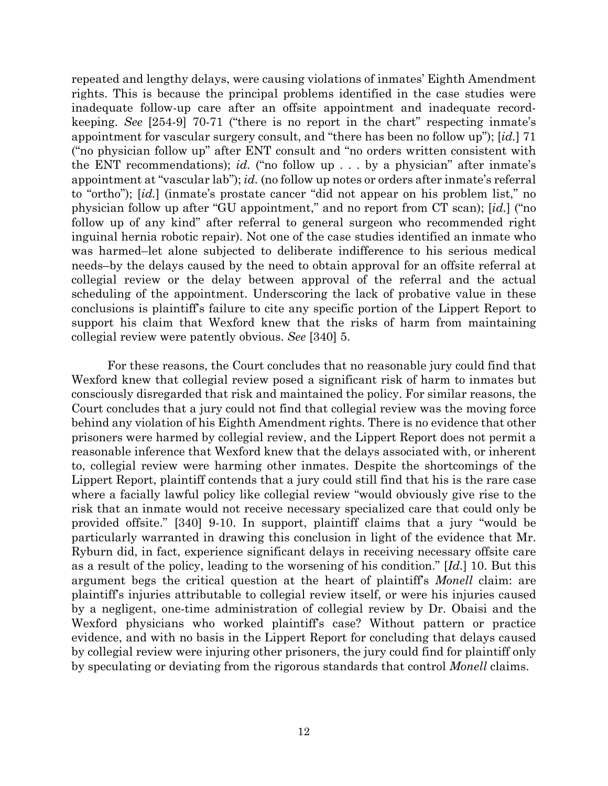repeated and lengthy delays, were causing violations of inmates' Eighth Amendment rights. This is because the principal problems identified in the case studies were inadequate follow-up care after an offsite appointment and inadequate recordkeeping. *See* [254-9] 70-71 ("there is no report in the chart" respecting inmate's appointment for vascular surgery consult, and "there has been no follow up"); [*id.*] 71 ("no physician follow up" after ENT consult and "no orders written consistent with the ENT recommendations); *id.* ("no follow up . . . by a physician" after inmate's appointment at "vascular lab"); *id.* (no follow up notes or orders after inmate's referral to "ortho"); [*id.*] (inmate's prostate cancer "did not appear on his problem list," no physician follow up after "GU appointment," and no report from CT scan); [*id.*] ("no follow up of any kind" after referral to general surgeon who recommended right inguinal hernia robotic repair). Not one of the case studies identified an inmate who was harmed–let alone subjected to deliberate indifference to his serious medical needs–by the delays caused by the need to obtain approval for an offsite referral at collegial review or the delay between approval of the referral and the actual scheduling of the appointment. Underscoring the lack of probative value in these conclusions is plaintiff's failure to cite any specific portion of the Lippert Report to support his claim that Wexford knew that the risks of harm from maintaining collegial review were patently obvious. *See* [340] 5.

For these reasons, the Court concludes that no reasonable jury could find that Wexford knew that collegial review posed a significant risk of harm to inmates but consciously disregarded that risk and maintained the policy. For similar reasons, the Court concludes that a jury could not find that collegial review was the moving force behind any violation of his Eighth Amendment rights. There is no evidence that other prisoners were harmed by collegial review, and the Lippert Report does not permit a reasonable inference that Wexford knew that the delays associated with, or inherent to, collegial review were harming other inmates. Despite the shortcomings of the Lippert Report, plaintiff contends that a jury could still find that his is the rare case where a facially lawful policy like collegial review "would obviously give rise to the risk that an inmate would not receive necessary specialized care that could only be provided offsite." [340] 9-10. In support, plaintiff claims that a jury "would be particularly warranted in drawing this conclusion in light of the evidence that Mr. Ryburn did, in fact, experience significant delays in receiving necessary offsite care as a result of the policy, leading to the worsening of his condition." [*Id.*] 10. But this argument begs the critical question at the heart of plaintiff's *Monell* claim: are plaintiff's injuries attributable to collegial review itself, or were his injuries caused by a negligent, one-time administration of collegial review by Dr. Obaisi and the Wexford physicians who worked plaintiff's case? Without pattern or practice evidence, and with no basis in the Lippert Report for concluding that delays caused by collegial review were injuring other prisoners, the jury could find for plaintiff only by speculating or deviating from the rigorous standards that control *Monell* claims.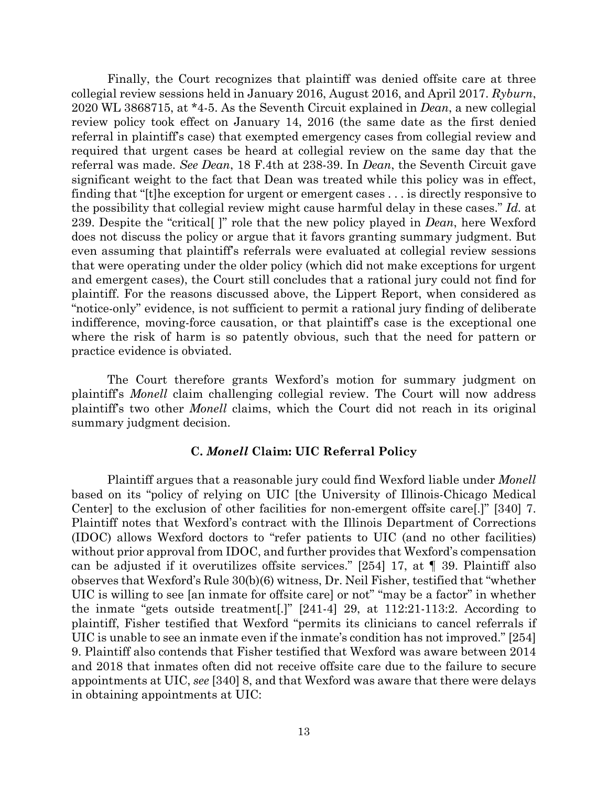Finally, the Court recognizes that plaintiff was denied offsite care at three collegial review sessions held in January 2016, August 2016, and April 2017. *Ryburn*, 2020 WL 3868715, at \*4-5. As the Seventh Circuit explained in *Dean*, a new collegial review policy took effect on January 14, 2016 (the same date as the first denied referral in plaintiff's case) that exempted emergency cases from collegial review and required that urgent cases be heard at collegial review on the same day that the referral was made. *See Dean*, 18 F.4th at 238-39. In *Dean*, the Seventh Circuit gave significant weight to the fact that Dean was treated while this policy was in effect, finding that "[t]he exception for urgent or emergent cases . . . is directly responsive to the possibility that collegial review might cause harmful delay in these cases." *Id.* at 239. Despite the "critical[ ]" role that the new policy played in *Dean*, here Wexford does not discuss the policy or argue that it favors granting summary judgment. But even assuming that plaintiff's referrals were evaluated at collegial review sessions that were operating under the older policy (which did not make exceptions for urgent and emergent cases), the Court still concludes that a rational jury could not find for plaintiff. For the reasons discussed above, the Lippert Report, when considered as "notice-only" evidence, is not sufficient to permit a rational jury finding of deliberate indifference, moving-force causation, or that plaintiff's case is the exceptional one where the risk of harm is so patently obvious, such that the need for pattern or practice evidence is obviated.

The Court therefore grants Wexford's motion for summary judgment on plaintiff's *Monell* claim challenging collegial review. The Court will now address plaintiff's two other *Monell* claims, which the Court did not reach in its original summary judgment decision.

#### **C.** *Monell* **Claim: UIC Referral Policy**

Plaintiff argues that a reasonable jury could find Wexford liable under *Monell* based on its "policy of relying on UIC [the University of Illinois-Chicago Medical Center] to the exclusion of other facilities for non-emergent offsite care[.]" [340] 7. Plaintiff notes that Wexford's contract with the Illinois Department of Corrections (IDOC) allows Wexford doctors to "refer patients to UIC (and no other facilities) without prior approval from IDOC, and further provides that Wexford's compensation can be adjusted if it overutilizes offsite services." [254] 17, at ¶ 39. Plaintiff also observes that Wexford's Rule 30(b)(6) witness, Dr. Neil Fisher, testified that "whether UIC is willing to see [an inmate for offsite care] or not" "may be a factor" in whether the inmate "gets outside treatment[.]" [241-4] 29, at 112:21-113:2. According to plaintiff, Fisher testified that Wexford "permits its clinicians to cancel referrals if UIC is unable to see an inmate even if the inmate's condition has not improved." [254] 9. Plaintiff also contends that Fisher testified that Wexford was aware between 2014 and 2018 that inmates often did not receive offsite care due to the failure to secure appointments at UIC, *see* [340] 8, and that Wexford was aware that there were delays in obtaining appointments at UIC: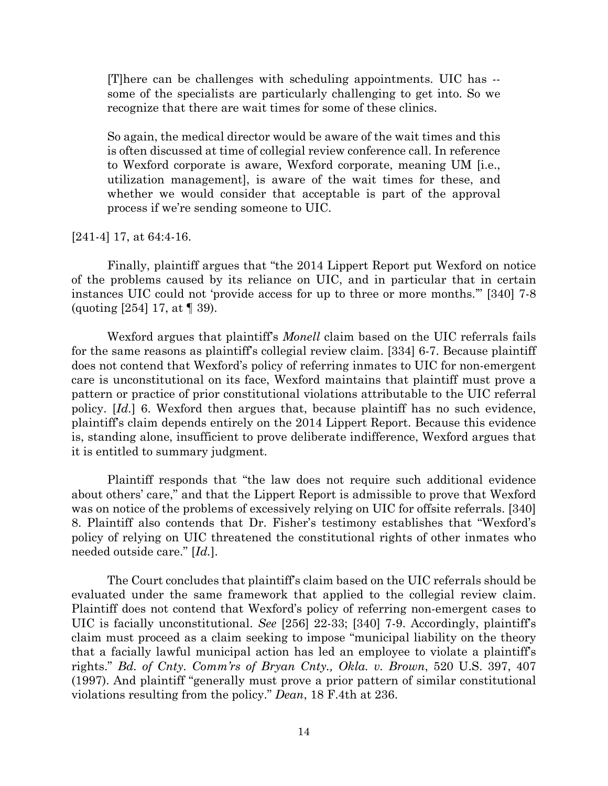[T]here can be challenges with scheduling appointments. UIC has - some of the specialists are particularly challenging to get into. So we recognize that there are wait times for some of these clinics.

So again, the medical director would be aware of the wait times and this is often discussed at time of collegial review conference call. In reference to Wexford corporate is aware, Wexford corporate, meaning UM [i.e., utilization management], is aware of the wait times for these, and whether we would consider that acceptable is part of the approval process if we're sending someone to UIC.

[241-4] 17, at 64:4-16.

Finally, plaintiff argues that "the 2014 Lippert Report put Wexford on notice of the problems caused by its reliance on UIC, and in particular that in certain instances UIC could not 'provide access for up to three or more months.'" [340] 7-8 (quoting [254] 17, at ¶ 39).

Wexford argues that plaintiff's *Monell* claim based on the UIC referrals fails for the same reasons as plaintiff's collegial review claim. [334] 6-7. Because plaintiff does not contend that Wexford's policy of referring inmates to UIC for non-emergent care is unconstitutional on its face, Wexford maintains that plaintiff must prove a pattern or practice of prior constitutional violations attributable to the UIC referral policy. [*Id.*] 6. Wexford then argues that, because plaintiff has no such evidence, plaintiff's claim depends entirely on the 2014 Lippert Report. Because this evidence is, standing alone, insufficient to prove deliberate indifference, Wexford argues that it is entitled to summary judgment.

Plaintiff responds that "the law does not require such additional evidence about others' care," and that the Lippert Report is admissible to prove that Wexford was on notice of the problems of excessively relying on UIC for offsite referrals. [340] 8. Plaintiff also contends that Dr. Fisher's testimony establishes that "Wexford's policy of relying on UIC threatened the constitutional rights of other inmates who needed outside care." [*Id.*].

The Court concludes that plaintiff's claim based on the UIC referrals should be evaluated under the same framework that applied to the collegial review claim. Plaintiff does not contend that Wexford's policy of referring non-emergent cases to UIC is facially unconstitutional. *See* [256] 22-33; [340] 7-9. Accordingly, plaintiff's claim must proceed as a claim seeking to impose "municipal liability on the theory that a facially lawful municipal action has led an employee to violate a plaintiff's rights." *Bd. of Cnty. Comm'rs of Bryan Cnty., Okla. v. Brown*, 520 U.S. 397, 407 (1997). And plaintiff "generally must prove a prior pattern of similar constitutional violations resulting from the policy." *Dean*, 18 F.4th at 236.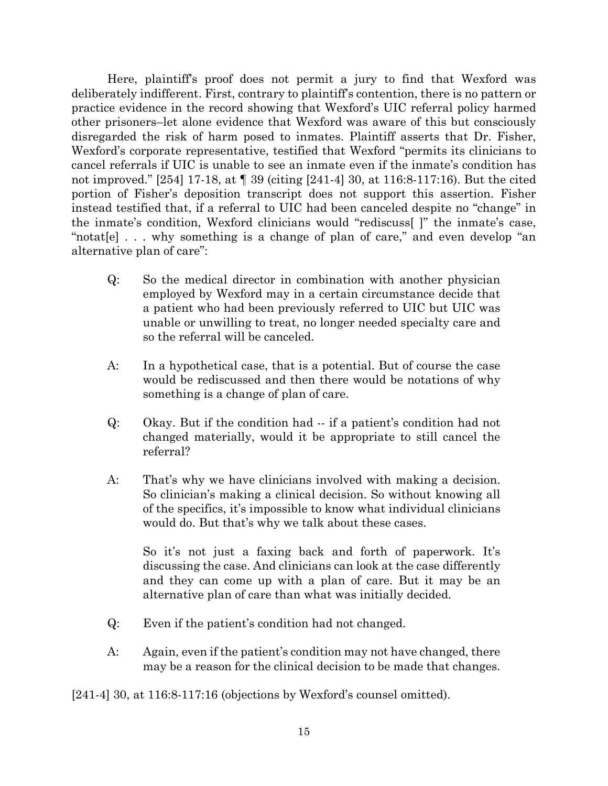Here, plaintiff's proof does not permit a jury to find that Wexford was deliberately indifferent. First, contrary to plaintiff's contention, there is no pattern or practice evidence in the record showing that Wexford's UIC referral policy harmed other prisoners–let alone evidence that Wexford was aware of this but consciously disregarded the risk of harm posed to inmates. Plaintiff asserts that Dr. Fisher, Wexford's corporate representative, testified that Wexford "permits its clinicians to cancel referrals if UIC is unable to see an inmate even if the inmate's condition has not improved." [254] 17-18, at ¶ 39 (citing [241-4] 30, at 116:8-117:16). But the cited portion of Fisher's deposition transcript does not support this assertion. Fisher instead testified that, if a referral to UIC had been canceled despite no "change" in the inmate's condition, Wexford clinicians would "rediscuss[ ]" the inmate's case, "notat[e]... why something is a change of plan of care," and even develop "an alternative plan of care":

- Q: So the medical director in combination with another physician employed by Wexford may in a certain circumstance decide that a patient who had been previously referred to UIC but UIC was unable or unwilling to treat, no longer needed specialty care and so the referral will be canceled.
- A: In a hypothetical case, that is a potential. But of course the case would be rediscussed and then there would be notations of why something is a change of plan of care.
- Q: Okay. But if the condition had -- if a patient's condition had not changed materially, would it be appropriate to still cancel the referral?
- A: That's why we have clinicians involved with making a decision. So clinician's making a clinical decision. So without knowing all of the specifics, it's impossible to know what individual clinicians would do. But that's why we talk about these cases.

So it's not just a faxing back and forth of paperwork. It's discussing the case. And clinicians can look at the case differently and they can come up with a plan of care. But it may be an alternative plan of care than what was initially decided.

- Q: Even if the patient's condition had not changed.
- A: Again, even if the patient's condition may not have changed, there may be a reason for the clinical decision to be made that changes.

[241-4] 30, at 116:8-117:16 (objections by Wexford's counsel omitted).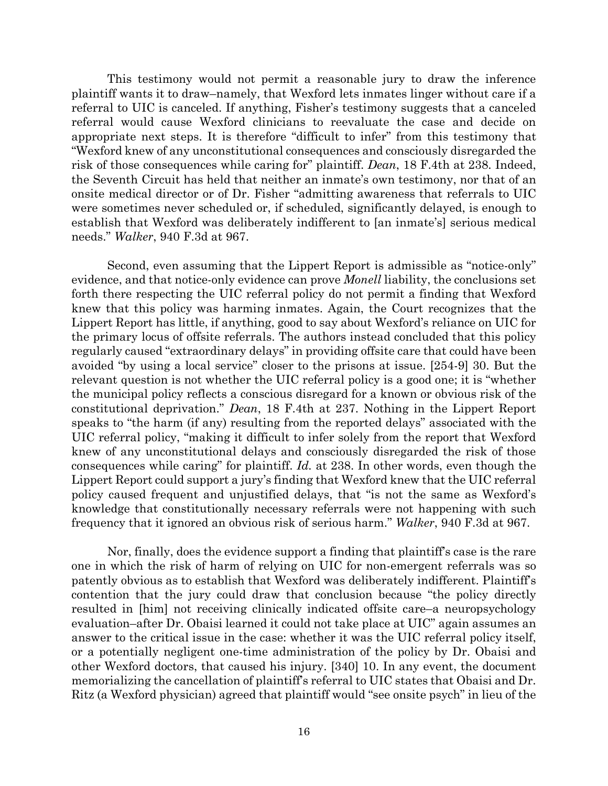This testimony would not permit a reasonable jury to draw the inference plaintiff wants it to draw–namely, that Wexford lets inmates linger without care if a referral to UIC is canceled. If anything, Fisher's testimony suggests that a canceled referral would cause Wexford clinicians to reevaluate the case and decide on appropriate next steps. It is therefore "difficult to infer" from this testimony that "Wexford knew of any unconstitutional consequences and consciously disregarded the risk of those consequences while caring for" plaintiff. *Dean*, 18 F.4th at 238. Indeed, the Seventh Circuit has held that neither an inmate's own testimony, nor that of an onsite medical director or of Dr. Fisher "admitting awareness that referrals to UIC were sometimes never scheduled or, if scheduled, significantly delayed, is enough to establish that Wexford was deliberately indifferent to [an inmate's] serious medical needs." *Walker*, 940 F.3d at 967.

Second, even assuming that the Lippert Report is admissible as "notice-only" evidence, and that notice-only evidence can prove *Monell* liability, the conclusions set forth there respecting the UIC referral policy do not permit a finding that Wexford knew that this policy was harming inmates. Again, the Court recognizes that the Lippert Report has little, if anything, good to say about Wexford's reliance on UIC for the primary locus of offsite referrals. The authors instead concluded that this policy regularly caused "extraordinary delays" in providing offsite care that could have been avoided "by using a local service" closer to the prisons at issue. [254-9] 30. But the relevant question is not whether the UIC referral policy is a good one; it is "whether the municipal policy reflects a conscious disregard for a known or obvious risk of the constitutional deprivation." *Dean*, 18 F.4th at 237. Nothing in the Lippert Report speaks to "the harm (if any) resulting from the reported delays" associated with the UIC referral policy, "making it difficult to infer solely from the report that Wexford knew of any unconstitutional delays and consciously disregarded the risk of those consequences while caring" for plaintiff. *Id.* at 238. In other words, even though the Lippert Report could support a jury's finding that Wexford knew that the UIC referral policy caused frequent and unjustified delays, that "is not the same as Wexford's knowledge that constitutionally necessary referrals were not happening with such frequency that it ignored an obvious risk of serious harm." *Walker*, 940 F.3d at 967.

Nor, finally, does the evidence support a finding that plaintiff's case is the rare one in which the risk of harm of relying on UIC for non-emergent referrals was so patently obvious as to establish that Wexford was deliberately indifferent. Plaintiff's contention that the jury could draw that conclusion because "the policy directly resulted in [him] not receiving clinically indicated offsite care–a neuropsychology evaluation–after Dr. Obaisi learned it could not take place at UIC" again assumes an answer to the critical issue in the case: whether it was the UIC referral policy itself, or a potentially negligent one-time administration of the policy by Dr. Obaisi and other Wexford doctors, that caused his injury. [340] 10. In any event, the document memorializing the cancellation of plaintiff's referral to UIC states that Obaisi and Dr. Ritz (a Wexford physician) agreed that plaintiff would "see onsite psych" in lieu of the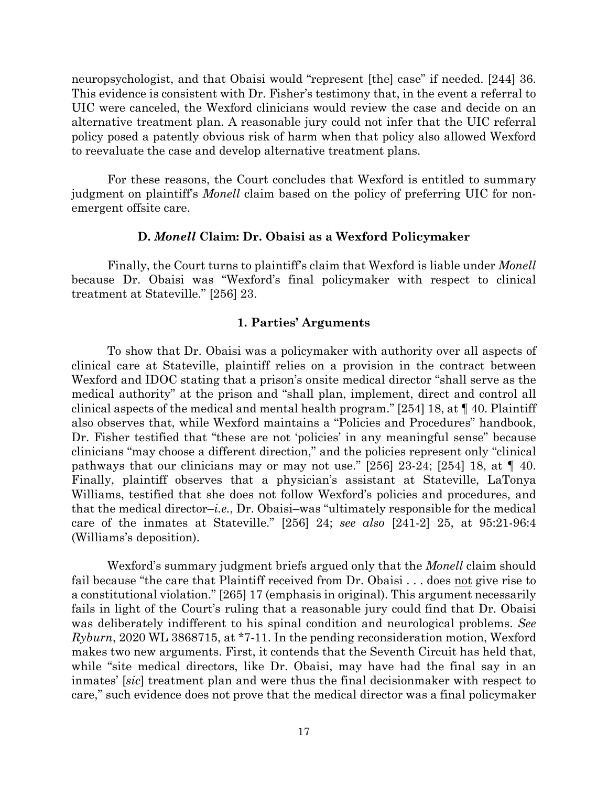neuropsychologist, and that Obaisi would "represent [the] case" if needed. [244] 36. This evidence is consistent with Dr. Fisher's testimony that, in the event a referral to UIC were canceled, the Wexford clinicians would review the case and decide on an alternative treatment plan. A reasonable jury could not infer that the UIC referral policy posed a patently obvious risk of harm when that policy also allowed Wexford to reevaluate the case and develop alternative treatment plans.

For these reasons, the Court concludes that Wexford is entitled to summary judgment on plaintiff's *Monell* claim based on the policy of preferring UIC for nonemergent offsite care.

## **D.** *Monell* **Claim: Dr. Obaisi as a Wexford Policymaker**

Finally, the Court turns to plaintiff's claim that Wexford is liable under *Monell* because Dr. Obaisi was "Wexford's final policymaker with respect to clinical treatment at Stateville." [256] 23.

## **1. Parties' Arguments**

To show that Dr. Obaisi was a policymaker with authority over all aspects of clinical care at Stateville, plaintiff relies on a provision in the contract between Wexford and IDOC stating that a prison's onsite medical director "shall serve as the medical authority" at the prison and "shall plan, implement, direct and control all clinical aspects of the medical and mental health program." [254] 18, at ¶ 40. Plaintiff also observes that, while Wexford maintains a "Policies and Procedures" handbook, Dr. Fisher testified that "these are not 'policies' in any meaningful sense" because clinicians "may choose a different direction," and the policies represent only "clinical pathways that our clinicians may or may not use." [256] 23-24; [254] 18, at  $\P$  40. Finally, plaintiff observes that a physician's assistant at Stateville, LaTonya Williams, testified that she does not follow Wexford's policies and procedures, and that the medical director–*i.e.*, Dr. Obaisi–was "ultimately responsible for the medical care of the inmates at Stateville." [256] 24; *see also* [241-2] 25, at 95:21-96:4 (Williams's deposition).

Wexford's summary judgment briefs argued only that the *Monell* claim should fail because "the care that Plaintiff received from Dr. Obaisi... does not give rise to a constitutional violation." [265] 17 (emphasis in original). This argument necessarily fails in light of the Court's ruling that a reasonable jury could find that Dr. Obaisi was deliberately indifferent to his spinal condition and neurological problems. *See Ryburn*, 2020 WL 3868715, at \*7-11. In the pending reconsideration motion, Wexford makes two new arguments. First, it contends that the Seventh Circuit has held that, while "site medical directors, like Dr. Obaisi, may have had the final say in an inmates' [*sic*] treatment plan and were thus the final decisionmaker with respect to care," such evidence does not prove that the medical director was a final policymaker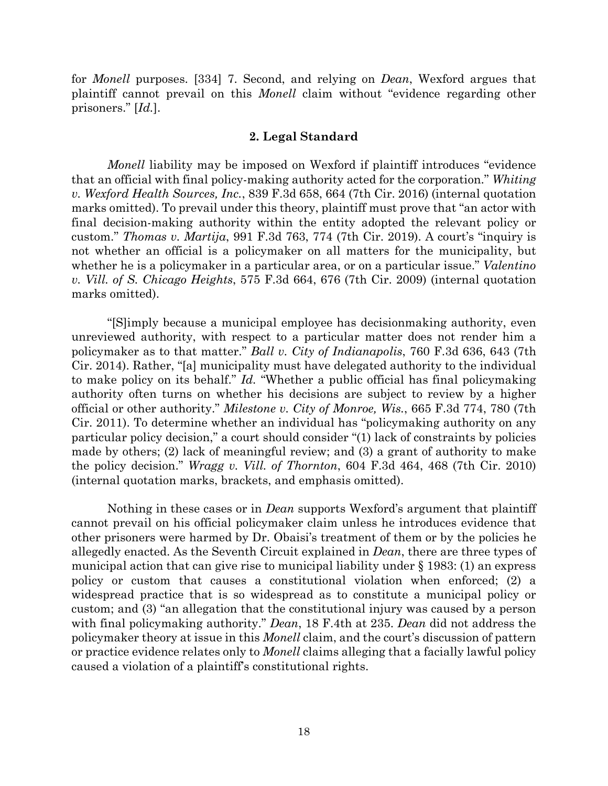for *Monell* purposes. [334] 7. Second, and relying on *Dean*, Wexford argues that plaintiff cannot prevail on this *Monell* claim without "evidence regarding other prisoners." [*Id.*].

## **2. Legal Standard**

*Monell* liability may be imposed on Wexford if plaintiff introduces "evidence that an official with final policy-making authority acted for the corporation." *Whiting v. Wexford Health Sources, Inc.*, 839 F.3d 658, 664 (7th Cir. 2016) (internal quotation marks omitted). To prevail under this theory, plaintiff must prove that "an actor with final decision-making authority within the entity adopted the relevant policy or custom." *Thomas v. Martija*, 991 F.3d 763, 774 (7th Cir. 2019). A court's "inquiry is not whether an official is a policymaker on all matters for the municipality, but whether he is a policymaker in a particular area, or on a particular issue." *Valentino v. Vill. of S. Chicago Heights*, 575 F.3d 664, 676 (7th Cir. 2009) (internal quotation marks omitted).

"[S]imply because a municipal employee has decisionmaking authority, even unreviewed authority, with respect to a particular matter does not render him a policymaker as to that matter." *Ball v. City of Indianapolis*, 760 F.3d 636, 643 (7th Cir. 2014). Rather, "[a] municipality must have delegated authority to the individual to make policy on its behalf." *Id.* "Whether a public official has final policymaking authority often turns on whether his decisions are subject to review by a higher official or other authority." *Milestone v. City of Monroe, Wis.*, 665 F.3d 774, 780 (7th Cir. 2011). To determine whether an individual has "policymaking authority on any particular policy decision," a court should consider "(1) lack of constraints by policies made by others; (2) lack of meaningful review; and (3) a grant of authority to make the policy decision." *Wragg v. Vill. of Thornton*, 604 F.3d 464, 468 (7th Cir. 2010) (internal quotation marks, brackets, and emphasis omitted).

Nothing in these cases or in *Dean* supports Wexford's argument that plaintiff cannot prevail on his official policymaker claim unless he introduces evidence that other prisoners were harmed by Dr. Obaisi's treatment of them or by the policies he allegedly enacted. As the Seventh Circuit explained in *Dean*, there are three types of municipal action that can give rise to municipal liability under § 1983: (1) an express policy or custom that causes a constitutional violation when enforced; (2) a widespread practice that is so widespread as to constitute a municipal policy or custom; and (3) "an allegation that the constitutional injury was caused by a person with final policymaking authority." *Dean*, 18 F.4th at 235. *Dean* did not address the policymaker theory at issue in this *Monell* claim, and the court's discussion of pattern or practice evidence relates only to *Monell* claims alleging that a facially lawful policy caused a violation of a plaintiff's constitutional rights.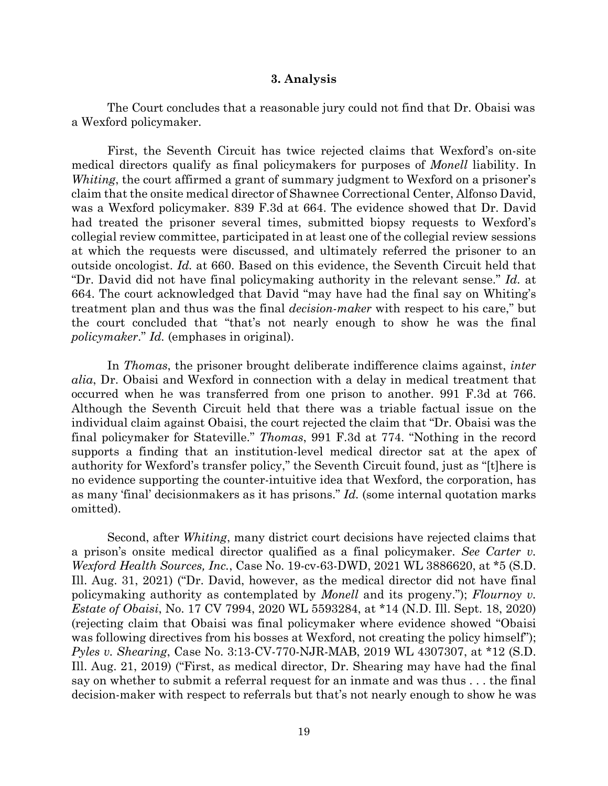#### **3. Analysis**

The Court concludes that a reasonable jury could not find that Dr. Obaisi was a Wexford policymaker.

First, the Seventh Circuit has twice rejected claims that Wexford's on-site medical directors qualify as final policymakers for purposes of *Monell* liability. In *Whiting*, the court affirmed a grant of summary judgment to Wexford on a prisoner's claim that the onsite medical director of Shawnee Correctional Center, Alfonso David, was a Wexford policymaker. 839 F.3d at 664. The evidence showed that Dr. David had treated the prisoner several times, submitted biopsy requests to Wexford's collegial review committee, participated in at least one of the collegial review sessions at which the requests were discussed, and ultimately referred the prisoner to an outside oncologist. *Id.* at 660. Based on this evidence, the Seventh Circuit held that "Dr. David did not have final policymaking authority in the relevant sense." *Id.* at 664. The court acknowledged that David "may have had the final say on Whiting's treatment plan and thus was the final *decision-maker* with respect to his care," but the court concluded that "that's not nearly enough to show he was the final *policymaker*." *Id.* (emphases in original).

In *Thomas*, the prisoner brought deliberate indifference claims against, *inter alia*, Dr. Obaisi and Wexford in connection with a delay in medical treatment that occurred when he was transferred from one prison to another. 991 F.3d at 766. Although the Seventh Circuit held that there was a triable factual issue on the individual claim against Obaisi, the court rejected the claim that "Dr. Obaisi was the final policymaker for Stateville." *Thomas*, 991 F.3d at 774. "Nothing in the record supports a finding that an institution-level medical director sat at the apex of authority for Wexford's transfer policy," the Seventh Circuit found, just as "[t]here is no evidence supporting the counter-intuitive idea that Wexford, the corporation, has as many 'final' decisionmakers as it has prisons." *Id.* (some internal quotation marks omitted).

Second, after *Whiting*, many district court decisions have rejected claims that a prison's onsite medical director qualified as a final policymaker. *See Carter v. Wexford Health Sources, Inc.*, Case No. 19-cv-63-DWD, 2021 WL 3886620, at \*5 (S.D. Ill. Aug. 31, 2021) ("Dr. David, however, as the medical director did not have final policymaking authority as contemplated by *Monell* and its progeny."); *Flournoy v. Estate of Obaisi*, No. 17 CV 7994, 2020 WL 5593284, at \*14 (N.D. Ill. Sept. 18, 2020) (rejecting claim that Obaisi was final policymaker where evidence showed "Obaisi was following directives from his bosses at Wexford, not creating the policy himself"); *Pyles v. Shearing*, Case No. 3:13-CV-770-NJR-MAB, 2019 WL 4307307, at \*12 (S.D. Ill. Aug. 21, 2019) ("First, as medical director, Dr. Shearing may have had the final say on whether to submit a referral request for an inmate and was thus . . . the final decision-maker with respect to referrals but that's not nearly enough to show he was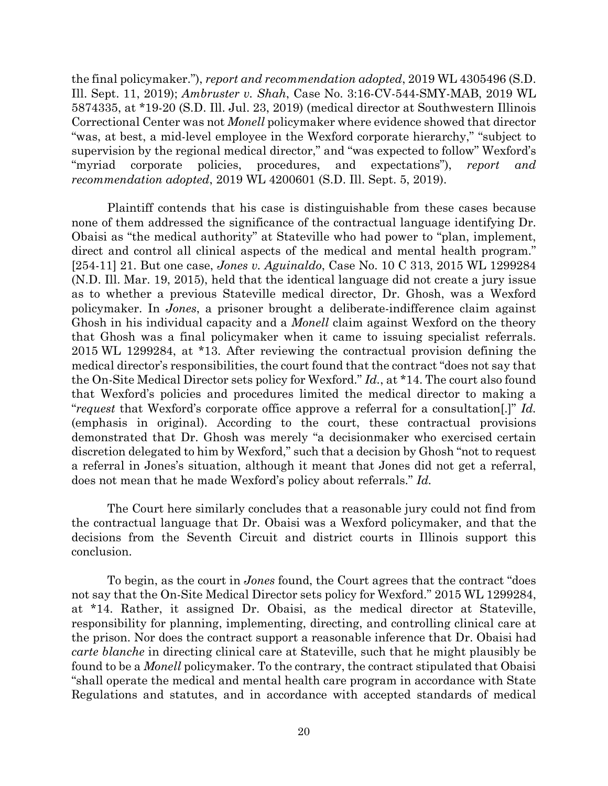the final policymaker."), *report and recommendation adopted*, 2019 WL 4305496 (S.D. Ill. Sept. 11, 2019); *Ambruster v. Shah*, Case No. 3:16-CV-544-SMY-MAB, 2019 WL 5874335, at \*19-20 (S.D. Ill. Jul. 23, 2019) (medical director at Southwestern Illinois Correctional Center was not *Monell* policymaker where evidence showed that director "was, at best, a mid-level employee in the Wexford corporate hierarchy," "subject to supervision by the regional medical director," and "was expected to follow" Wexford's "myriad corporate policies, procedures, and expectations"), *report and recommendation adopted*, 2019 WL 4200601 (S.D. Ill. Sept. 5, 2019).

Plaintiff contends that his case is distinguishable from these cases because none of them addressed the significance of the contractual language identifying Dr. Obaisi as "the medical authority" at Stateville who had power to "plan, implement, direct and control all clinical aspects of the medical and mental health program." [254-11] 21. But one case, *Jones v. Aguinaldo*, Case No. 10 C 313, 2015 WL 1299284 (N.D. Ill. Mar. 19, 2015), held that the identical language did not create a jury issue as to whether a previous Stateville medical director, Dr. Ghosh, was a Wexford policymaker. In *Jones*, a prisoner brought a deliberate-indifference claim against Ghosh in his individual capacity and a *Monell* claim against Wexford on the theory that Ghosh was a final policymaker when it came to issuing specialist referrals. 2015 WL 1299284, at \*13. After reviewing the contractual provision defining the medical director's responsibilities, the court found that the contract "does not say that the On-Site Medical Director sets policy for Wexford." *Id.*, at \*14. The court also found that Wexford's policies and procedures limited the medical director to making a "*request* that Wexford's corporate office approve a referral for a consultation[.]" *Id.* (emphasis in original). According to the court, these contractual provisions demonstrated that Dr. Ghosh was merely "a decisionmaker who exercised certain discretion delegated to him by Wexford," such that a decision by Ghosh "not to request a referral in Jones's situation, although it meant that Jones did not get a referral, does not mean that he made Wexford's policy about referrals." *Id.*

The Court here similarly concludes that a reasonable jury could not find from the contractual language that Dr. Obaisi was a Wexford policymaker, and that the decisions from the Seventh Circuit and district courts in Illinois support this conclusion.

To begin, as the court in *Jones* found, the Court agrees that the contract "does not say that the On-Site Medical Director sets policy for Wexford." 2015 WL 1299284, at \*14. Rather, it assigned Dr. Obaisi, as the medical director at Stateville, responsibility for planning, implementing, directing, and controlling clinical care at the prison. Nor does the contract support a reasonable inference that Dr. Obaisi had *carte blanche* in directing clinical care at Stateville, such that he might plausibly be found to be a *Monell* policymaker. To the contrary, the contract stipulated that Obaisi "shall operate the medical and mental health care program in accordance with State Regulations and statutes, and in accordance with accepted standards of medical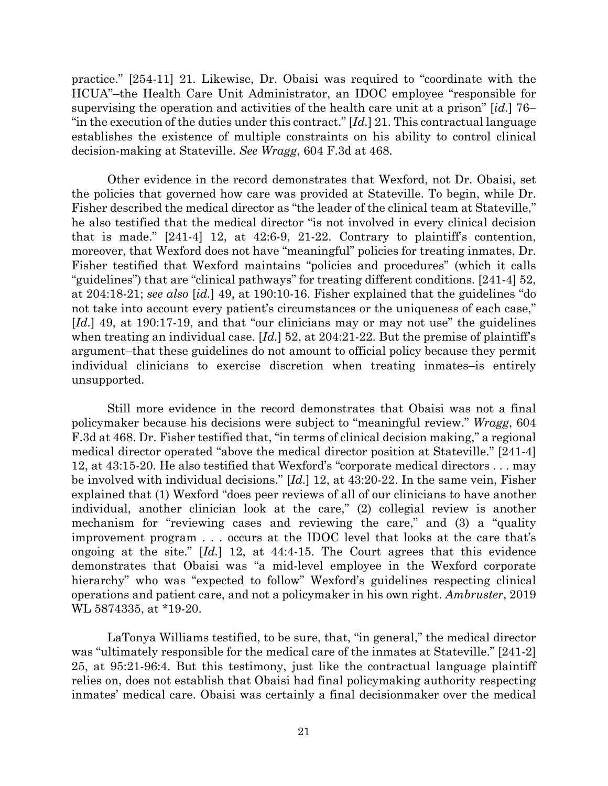practice." [254-11] 21. Likewise, Dr. Obaisi was required to "coordinate with the HCUA"–the Health Care Unit Administrator, an IDOC employee "responsible for supervising the operation and activities of the health care unit at a prison" [*id.*] 76– "in the execution of the duties under this contract." [*Id.*] 21. This contractual language establishes the existence of multiple constraints on his ability to control clinical decision-making at Stateville. *See Wragg*, 604 F.3d at 468.

Other evidence in the record demonstrates that Wexford, not Dr. Obaisi, set the policies that governed how care was provided at Stateville. To begin, while Dr. Fisher described the medical director as "the leader of the clinical team at Stateville," he also testified that the medical director "is not involved in every clinical decision that is made."  $[241-4]$  12, at 42:6-9, 21-22. Contrary to plaintiff's contention, moreover, that Wexford does not have "meaningful" policies for treating inmates, Dr. Fisher testified that Wexford maintains "policies and procedures" (which it calls "guidelines") that are "clinical pathways" for treating different conditions. [241-4] 52, at 204:18-21; *see also* [*id.*] 49, at 190:10-16. Fisher explained that the guidelines "do not take into account every patient's circumstances or the uniqueness of each case," [*Id.*] 49, at 190:17-19, and that "our clinicians may or may not use" the guidelines when treating an individual case. [*Id.*] 52, at 204:21-22. But the premise of plaintiff's argument–that these guidelines do not amount to official policy because they permit individual clinicians to exercise discretion when treating inmates–is entirely unsupported.

Still more evidence in the record demonstrates that Obaisi was not a final policymaker because his decisions were subject to "meaningful review." *Wragg*, 604 F.3d at 468. Dr. Fisher testified that, "in terms of clinical decision making," a regional medical director operated "above the medical director position at Stateville." [241-4] 12, at 43:15-20. He also testified that Wexford's "corporate medical directors . . . may be involved with individual decisions." [*Id.*] 12, at 43:20-22. In the same vein, Fisher explained that (1) Wexford "does peer reviews of all of our clinicians to have another individual, another clinician look at the care," (2) collegial review is another mechanism for "reviewing cases and reviewing the care," and (3) a "quality improvement program . . . occurs at the IDOC level that looks at the care that's ongoing at the site." [*Id.*] 12, at 44:4-15. The Court agrees that this evidence demonstrates that Obaisi was "a mid-level employee in the Wexford corporate hierarchy" who was "expected to follow" Wexford's guidelines respecting clinical operations and patient care, and not a policymaker in his own right. *Ambruster*, 2019 WL 5874335, at \*19-20.

LaTonya Williams testified, to be sure, that, "in general," the medical director was "ultimately responsible for the medical care of the inmates at Stateville." [241-2] 25, at 95:21-96:4. But this testimony, just like the contractual language plaintiff relies on, does not establish that Obaisi had final policymaking authority respecting inmates' medical care. Obaisi was certainly a final decisionmaker over the medical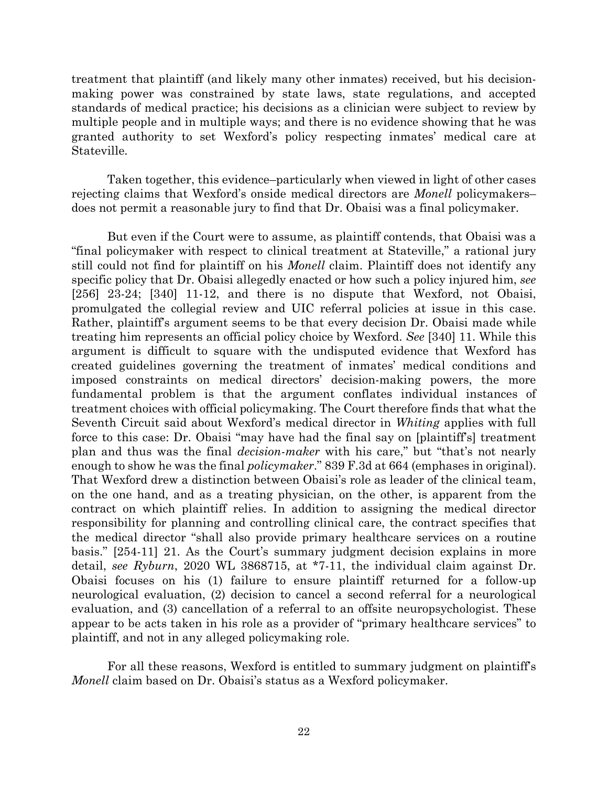treatment that plaintiff (and likely many other inmates) received, but his decisionmaking power was constrained by state laws, state regulations, and accepted standards of medical practice; his decisions as a clinician were subject to review by multiple people and in multiple ways; and there is no evidence showing that he was granted authority to set Wexford's policy respecting inmates' medical care at Stateville.

Taken together, this evidence–particularly when viewed in light of other cases rejecting claims that Wexford's onside medical directors are *Monell* policymakers– does not permit a reasonable jury to find that Dr. Obaisi was a final policymaker.

But even if the Court were to assume, as plaintiff contends, that Obaisi was a "final policymaker with respect to clinical treatment at Stateville," a rational jury still could not find for plaintiff on his *Monell* claim. Plaintiff does not identify any specific policy that Dr. Obaisi allegedly enacted or how such a policy injured him, *see* [256] 23-24; [340] 11-12, and there is no dispute that Wexford, not Obaisi, promulgated the collegial review and UIC referral policies at issue in this case. Rather, plaintiff's argument seems to be that every decision Dr. Obaisi made while treating him represents an official policy choice by Wexford. *See* [340] 11. While this argument is difficult to square with the undisputed evidence that Wexford has created guidelines governing the treatment of inmates' medical conditions and imposed constraints on medical directors' decision-making powers, the more fundamental problem is that the argument conflates individual instances of treatment choices with official policymaking. The Court therefore finds that what the Seventh Circuit said about Wexford's medical director in *Whiting* applies with full force to this case: Dr. Obaisi "may have had the final say on [plaintiff's] treatment plan and thus was the final *decision-maker* with his care," but "that's not nearly enough to show he was the final *policymaker*." 839 F.3d at 664 (emphases in original). That Wexford drew a distinction between Obaisi's role as leader of the clinical team, on the one hand, and as a treating physician, on the other, is apparent from the contract on which plaintiff relies. In addition to assigning the medical director responsibility for planning and controlling clinical care, the contract specifies that the medical director "shall also provide primary healthcare services on a routine basis." [254-11] 21. As the Court's summary judgment decision explains in more detail, *see Ryburn*, 2020 WL 3868715, at \*7-11, the individual claim against Dr. Obaisi focuses on his (1) failure to ensure plaintiff returned for a follow-up neurological evaluation, (2) decision to cancel a second referral for a neurological evaluation, and (3) cancellation of a referral to an offsite neuropsychologist. These appear to be acts taken in his role as a provider of "primary healthcare services" to plaintiff, and not in any alleged policymaking role.

For all these reasons, Wexford is entitled to summary judgment on plaintiff's *Monell* claim based on Dr. Obaisi's status as a Wexford policymaker.